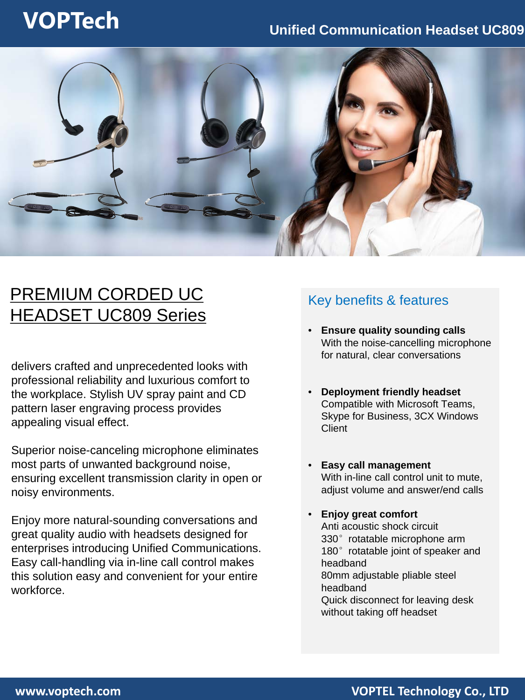# **VOPTech Unified Communication Headset UC809**



## PREMIUM CORDED UC HEADSET UC809 Series

delivers crafted and unprecedented looks with professional reliability and luxurious comfort to the workplace. Stylish UV spray paint and CD pattern laser engraving process provides appealing visual effect.

Superior noise-canceling microphone eliminates most parts of unwanted background noise, ensuring excellent transmission clarity in open or noisy environments.

Enjoy more natural-sounding conversations and great quality audio with headsets designed for enterprises introducing Unified Communications. Easy call-handling via in-line call control makes this solution easy and convenient for your entire workforce.

### Key benefits & features

- **Ensure quality sounding calls**  With the noise-cancelling microphone for natural, clear conversations
- **Deployment friendly headset**  Compatible with Microsoft Teams, Skype for Business, 3CX Windows **Client**
- **Easy call management** With in-line call control unit to mute, adjust volume and answer/end calls
- **Enjoy great comfort**  Anti acoustic shock circuit 330°rotatable microphone arm 180° rotatable joint of speaker and headband 80mm adjustable pliable steel headband Quick disconnect for leaving desk without taking off headset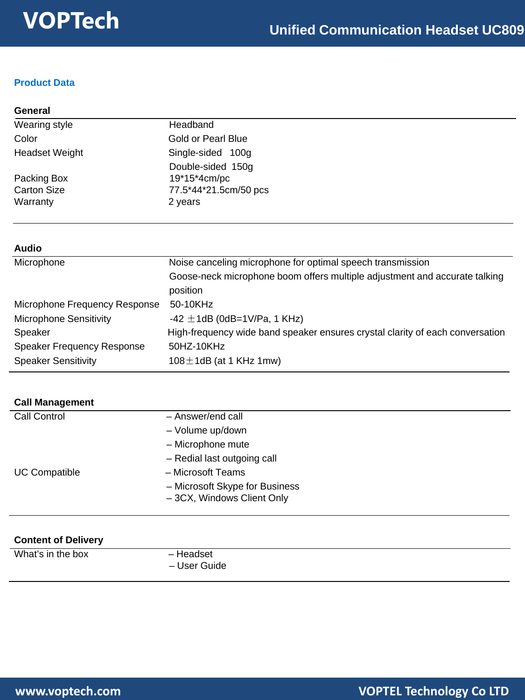### **Product Data**

| General |  |
|---------|--|
|         |  |

| Wearing style         | Headband              |  |
|-----------------------|-----------------------|--|
| Color                 | Gold or Pearl Blue    |  |
| <b>Headset Weight</b> | Single-sided 100g     |  |
|                       | Double-sided 150g     |  |
| Packing Box           | 19*15*4cm/pc          |  |
| <b>Carton Size</b>    | 77.5*44*21.5cm/50 pcs |  |
| Warranty              | 2 years               |  |

### **Audio**

| Microphone                        | Noise canceling microphone for optimal speech transmission                    |  |
|-----------------------------------|-------------------------------------------------------------------------------|--|
|                                   | Goose-neck microphone boom offers multiple adjustment and accurate talking    |  |
|                                   | position                                                                      |  |
| Microphone Frequency Response     | 50-10KHz                                                                      |  |
| <b>Microphone Sensitivity</b>     | -42 $\pm$ 1dB (0dB=1V/Pa, 1 KHz)                                              |  |
| Speaker                           | High-frequency wide band speaker ensures crystal clarity of each conversation |  |
| <b>Speaker Frequency Response</b> | 50HZ-10KHz                                                                    |  |
| <b>Speaker Sensitivity</b>        | $108 \pm 1$ dB (at 1 KHz 1mw)                                                 |  |

| <b>Call Management</b> |                                |
|------------------------|--------------------------------|
| Call Control           | - Answer/end call              |
|                        | - Volume up/down               |
|                        | - Microphone mute              |
|                        | - Redial last outgoing call    |
| <b>UC Compatible</b>   | - Microsoft Teams              |
|                        | - Microsoft Skype for Business |
|                        | - 3CX, Windows Client Only     |

| <b>Content of Delivery</b> |                           |
|----------------------------|---------------------------|
| What's in the box          | - Headset<br>– User Guide |